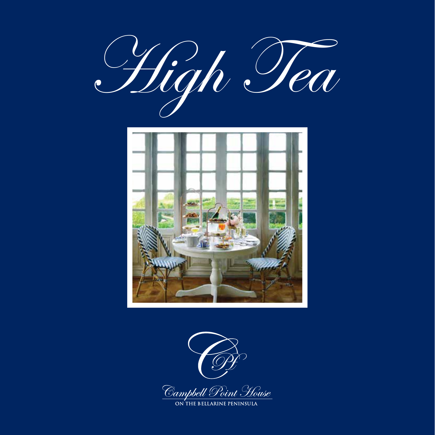





<u>Campbell Point House</u><br>ON THE BELLARINE PENINSULA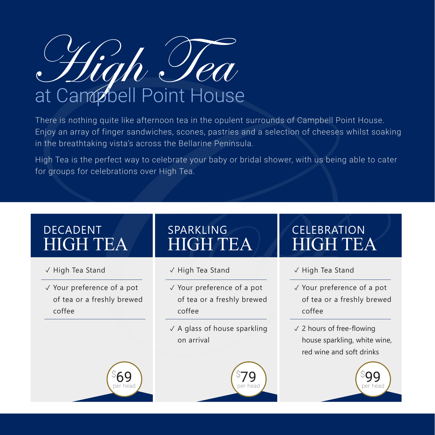High Tea

There is nothing quite like afternoon tea in the opulent surrounds of Campbell Point House. Enjoy an array of finger sandwiches, scones, pastries and a selection of cheeses whilst soaking in the breathtaking vista's across the Bellarine Peninsula.

High Tea is the perfect way to celebrate your baby or bridal shower, with us being able to cater for groups for celebrations over High Tea.

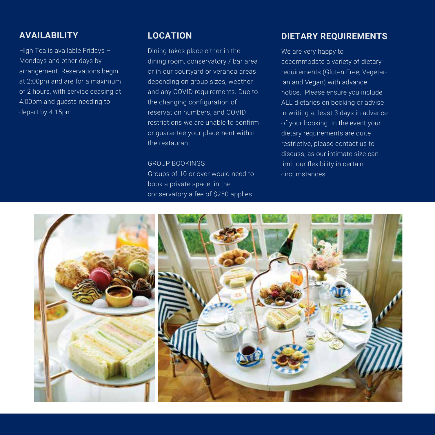## **AVAILABILITY**

High Tea is available Fridays – Mondays and other days by arrangement. Reservations begin at 2:00pm and are for a maximum of 2 hours, with service ceasing at 4.00pm and guests needing to depart by 4.15pm.

## **LOCATION**

Dining takes place either in the dining room, conservatory / bar area or in our courtyard or veranda areas depending on group sizes, weather and any COVID requirements. Due to the changing configuration of reservation numbers, and COVID restrictions we are unable to confirm or guarantee your placement within the restaurant.

## GROUP BOOKINGS

Groups of 10 or over would need to book a private space in the conservatory a fee of \$250 applies.

## **DIETARY REQUIREMENTS**

We are very happy to accommodate a variety of dietary requirements (Gluten Free, Vegetarian and Vegan) with advance notice. Please ensure you include ALL dietaries on booking or advise in writing at least 3 days in advance of your booking. In the event your dietary requirements are quite restrictive, please contact us to discuss, as our intimate size can limit our flexibility in certain circumstances.